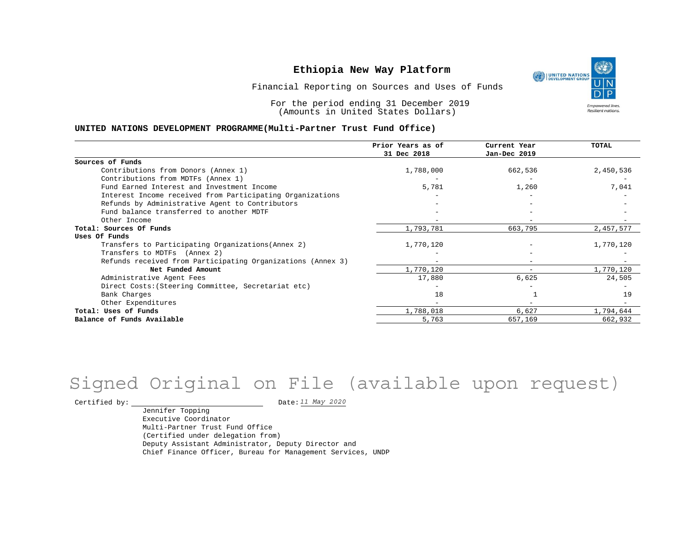

Financial Reporting on Sources and Uses of Funds

For the period ending 31 December 2019 (Amounts in United States Dollars)

#### **UNITED NATIONS DEVELOPMENT PROGRAMME(Multi-Partner Trust Fund Office)**

|                                                             | Prior Years as of | Current Year             | <b>TOTAL</b> |
|-------------------------------------------------------------|-------------------|--------------------------|--------------|
|                                                             | 31 Dec 2018       | Jan-Dec 2019             |              |
| Sources of Funds                                            |                   |                          |              |
| Contributions from Donors (Annex 1)                         | 1,788,000         | 662,536                  | 2,450,536    |
| Contributions from MDTFs (Annex 1)                          |                   |                          |              |
| Fund Earned Interest and Investment Income                  | 5,781             | 1,260                    | 7,041        |
| Interest Income received from Participating Organizations   |                   |                          |              |
| Refunds by Administrative Agent to Contributors             |                   |                          |              |
| Fund balance transferred to another MDTF                    |                   |                          |              |
| Other Income                                                |                   |                          |              |
| Total: Sources Of Funds                                     | 1,793,781         | 663,795                  | 2,457,577    |
| Uses Of Funds                                               |                   |                          |              |
| Transfers to Participating Organizations (Annex 2)          | 1,770,120         |                          | 1,770,120    |
| Transfers to MDTFs (Annex 2)                                |                   |                          |              |
| Refunds received from Participating Organizations (Annex 3) | $-$               | -                        |              |
| Net Funded Amount                                           | 1,770,120         | $\overline{\phantom{0}}$ | 1,770,120    |
| Administrative Agent Fees                                   | 17,880            | 6,625                    | 24,505       |
| Direct Costs: (Steering Committee, Secretariat etc)         |                   |                          |              |
| Bank Charges                                                | 18                |                          | 19           |
| Other Expenditures                                          |                   |                          |              |
| Total: Uses of Funds                                        | 1,788,018         | 6,627                    | 1,794,644    |
| Balance of Funds Available                                  | 5,763             | 657,169                  | 662,932      |

# Signed Original on File (available upon request)

Certified by:  $\frac{11 May 2020}{100}$ 

Jennifer Topping Executive Coordinator Multi-Partner Trust Fund Office (Certified under delegation from) Deputy Assistant Administrator, Deputy Director and Chief Finance Officer, Bureau for Management Services, UNDP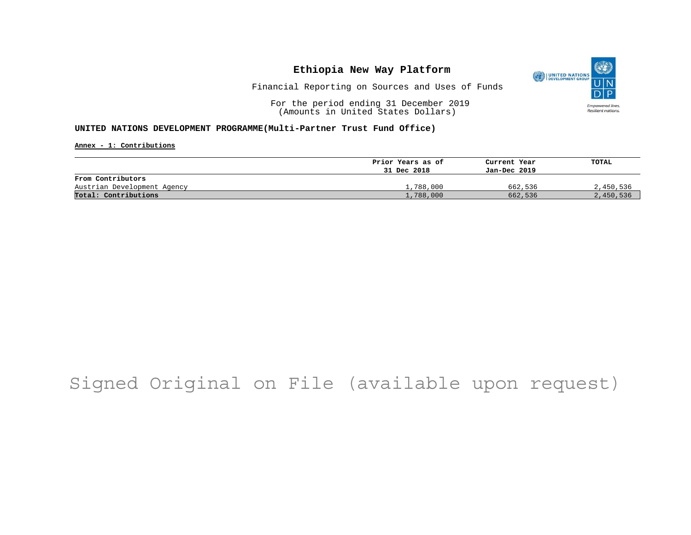

Financial Reporting on Sources and Uses of Funds

For the period ending 31 December 2019 (Amounts in United States Dollars)

#### **UNITED NATIONS DEVELOPMENT PROGRAMME(Multi-Partner Trust Fund Office)**

**Annex - 1: Contributions**

|                             | Prior Years as of | Current Year | TOTAL     |
|-----------------------------|-------------------|--------------|-----------|
|                             | 31 Dec 2018       | Jan-Dec 2019 |           |
| From Contributors           |                   |              |           |
| Austrian Development Agency | 1,788,000         | 662,536      | 2,450,536 |
| Total: Contributions        | l,788,000         | 662,536      | 2,450,536 |

## Signed Original on File (available upon request)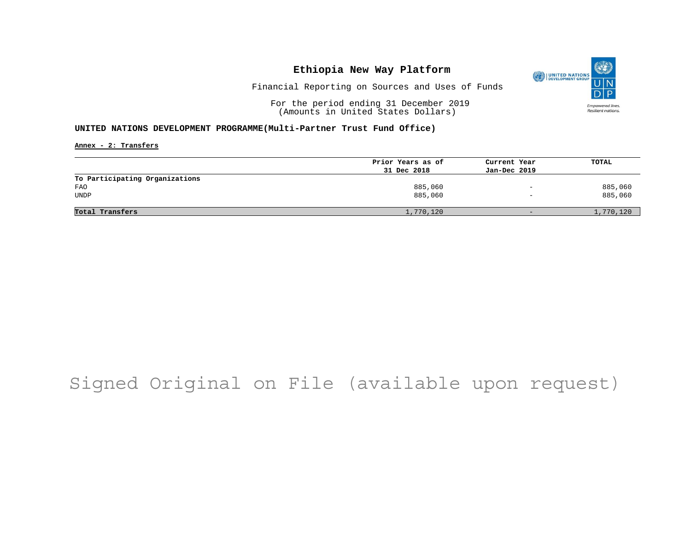

Financial Reporting on Sources and Uses of Funds

For the period ending 31 December 2019 (Amounts in United States Dollars)

#### **UNITED NATIONS DEVELOPMENT PROGRAMME(Multi-Partner Trust Fund Office)**

**Annex - 2: Transfers**

|                                | Prior Years as of | Current Year                 | TOTAL     |
|--------------------------------|-------------------|------------------------------|-----------|
|                                | 31 Dec 2018       | Jan-Dec 2019                 |           |
| To Participating Organizations |                   |                              |           |
| <b>FAO</b>                     | 885,060           | $\overline{\phantom{m}}$     | 885,060   |
| <b>UNDP</b>                    | 885,060           | $\qquad \qquad \blacksquare$ | 885,060   |
|                                |                   |                              |           |
| Total Transfers                | 1,770,120         | $-$                          | 1,770,120 |

## Signed Original on File (available upon request)